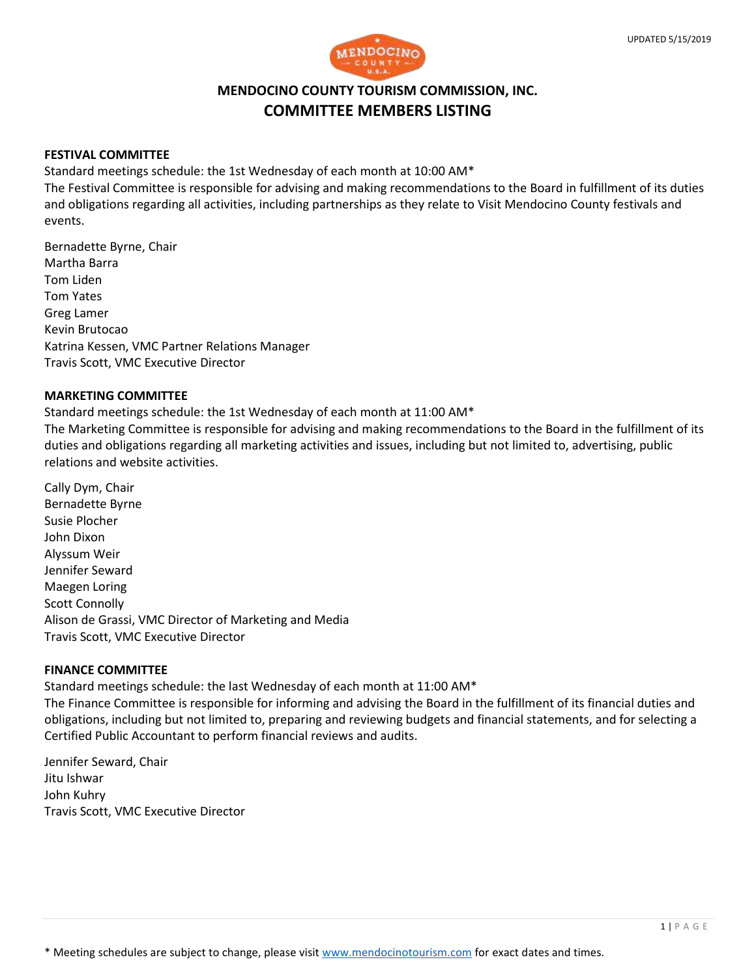



# **MENDOCINO COUNTY TOURISM COMMISSION, INC. COMMITTEE MEMBERS LISTING**

### **FESTIVAL COMMITTEE**

Standard meetings schedule: the 1st Wednesday of each month at 10:00 AM\*

The Festival Committee is responsible for advising and making recommendations to the Board in fulfillment of its duties and obligations regarding all activities, including partnerships as they relate to Visit Mendocino County festivals and events.

Bernadette Byrne, Chair Martha Barra Tom Liden Tom Yates Greg Lamer Kevin Brutocao Katrina Kessen, VMC Partner Relations Manager Travis Scott, VMC Executive Director

# **MARKETING COMMITTEE**

Standard meetings schedule: the 1st Wednesday of each month at 11:00 AM\*

The Marketing Committee is responsible for advising and making recommendations to the Board in the fulfillment of its duties and obligations regarding all marketing activities and issues, including but not limited to, advertising, public relations and website activities.

Cally Dym, Chair Bernadette Byrne Susie Plocher John Dixon Alyssum Weir Jennifer Seward Maegen Loring Scott Connolly Alison de Grassi, VMC Director of Marketing and Media Travis Scott, VMC Executive Director

# **FINANCE COMMITTEE**

Standard meetings schedule: the last Wednesday of each month at 11:00 AM\*

The Finance Committee is responsible for informing and advising the Board in the fulfillment of its financial duties and obligations, including but not limited to, preparing and reviewing budgets and financial statements, and for selecting a Certified Public Accountant to perform financial reviews and audits.

Jennifer Seward, Chair Jitu Ishwar John Kuhry Travis Scott, VMC Executive Director